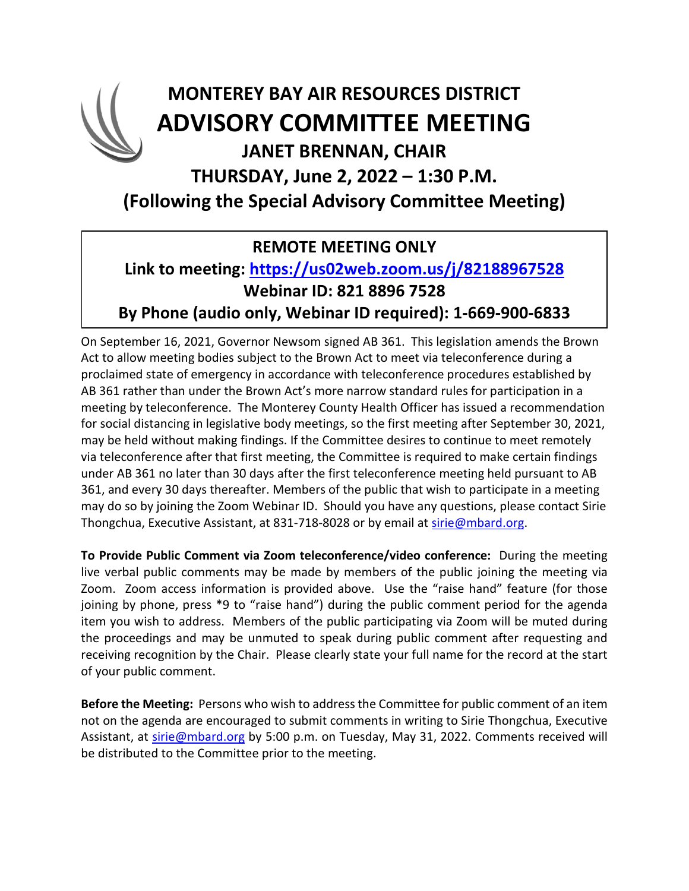## **MONTEREY BAY AIR RESOURCES DISTRICT ADVISORY COMMITTEE MEETING JANET BRENNAN, CHAIR THURSDAY, June 2, 2022 – 1:30 P.M. (Following the Special Advisory Committee Meeting)**

### **REMOTE MEETING ONLY**

#### **Link to meeting: <https://us02web.zoom.us/j/82188967528> Webinar ID: 821 8896 7528 By Phone (audio only, Webinar ID required): 1-669-900-6833**

On September 16, 2021, Governor Newsom signed AB 361. This legislation amends the Brown Act to allow meeting bodies subject to the Brown Act to meet via teleconference during a proclaimed state of emergency in accordance with teleconference procedures established by AB 361 rather than under the Brown Act's more narrow standard rules for participation in a meeting by teleconference. The Monterey County Health Officer has issued a recommendation for social distancing in legislative body meetings, so the first meeting after September 30, 2021, may be held without making findings. If the Committee desires to continue to meet remotely via teleconference after that first meeting, the Committee is required to make certain findings under AB 361 no later than 30 days after the first teleconference meeting held pursuant to AB 361, and every 30 days thereafter. Members of the public that wish to participate in a meeting may do so by joining the Zoom Webinar ID. Should you have any questions, please contact Sirie Thongchua, Executive Assistant, at 831-718-8028 or by email at [sirie@mbard.org.](mailto:sirie@mbard.org)

**To Provide Public Comment via Zoom teleconference/video conference:** During the meeting live verbal public comments may be made by members of the public joining the meeting via Zoom. Zoom access information is provided above. Use the "raise hand" feature (for those joining by phone, press \*9 to "raise hand") during the public comment period for the agenda item you wish to address. Members of the public participating via Zoom will be muted during the proceedings and may be unmuted to speak during public comment after requesting and receiving recognition by the Chair. Please clearly state your full name for the record at the start of your public comment.

**Before the Meeting:** Persons who wish to address the Committee for public comment of an item not on the agenda are encouraged to submit comments in writing to Sirie Thongchua, Executive Assistant, at [sirie@mbard.org](mailto:sirie@mbard.org) by 5:00 p.m. on Tuesday, May 31, 2022. Comments received will be distributed to the Committee prior to the meeting.